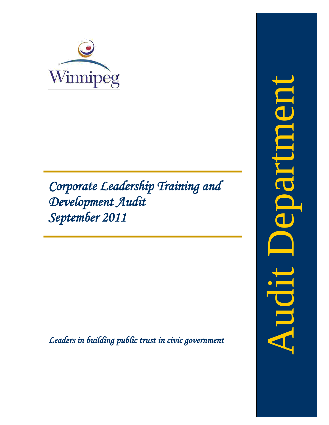

*Corporate Leadership Training and Development Audit September 2011*

<span id="page-0-0"></span>*Leaders in building public trust in civic government*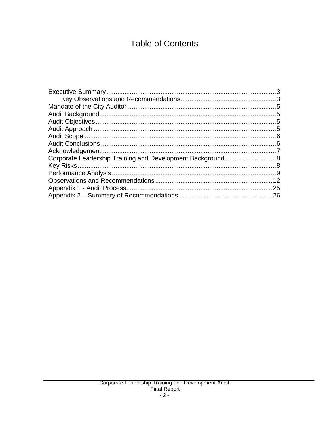# **Table of Contents**

| Corporate Leadership Training and Development Background  8 |     |
|-------------------------------------------------------------|-----|
|                                                             |     |
|                                                             |     |
|                                                             |     |
|                                                             | .25 |
|                                                             |     |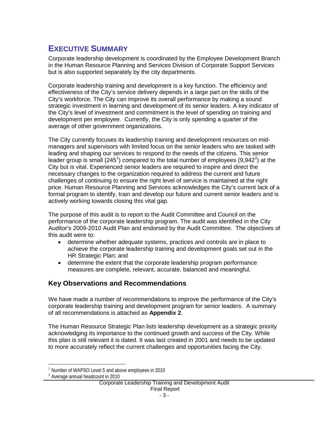## <span id="page-3-0"></span>**EXECUTIVE SUMMARY**

Corporate leadership development is coordinated by the Employee Development Branch in the Human Resource Planning and Services Division of Corporate Support Services but is also supported separately by the city departments.

Corporate leadership training and development is a key function. The efficiency and effectiveness of the City's service delivery depends in a large part on the skills of the City's workforce. The City can improve its overall performance by making a sound strategic investment in learning and development of its senior leaders. A key indicator of the City's level of investment and commitment is the level of spending on training and development per employee. Currently, the City is only spending a quarter of the average of other government organizations.

The City currently focuses its leadership training and development resources on midmanagers and supervisors with limited focus on the senior leaders who are tasked with leading and shaping our services to respond to the needs of the citizens. This senior leader group is small (245<sup>[1](#page-0-0)</sup>) compared to the total number of employees (9,94[2](#page-3-2)<sup>2</sup>) at the City but is vital. Experienced senior leaders are required to inspire and direct the necessary changes to the organization required to address the current and future challenges of continuing to ensure the right level of service is maintained at the right price. Human Resource Planning and Services acknowledges the City's current lack of a formal program to identify, train and develop our future and current senior leaders and is actively working towards closing this vital gap.

The purpose of this audit is to report to the Audit Committee and Council on the performance of the corporate leadership program. The audit was identified in the City Auditor's 2009-2010 Audit Plan and endorsed by the Audit Committee. The objectives of this audit were to:

- determine whether adequate systems, practices and controls are in place to achieve the corporate leadership training and development goals set out in the HR Strategic Plan; and
- determine the extent that the corporate leadership program performance measures are complete, relevant, accurate, balanced and meaningful.

## <span id="page-3-1"></span>**Key Observations and Recommendations**

We have made a number of recommendations to improve the performance of the City's corporate leadership training and development program for senior leaders. A summary of all recommendations is attached as **Appendix 2**.

The Human Resource Strategic Plan lists leadership development as a strategic priority acknowledging its importance to the continued growth and success of the City. While this plan is still relevant it is dated. It was last created in 2001 and needs to be updated to more accurately reflect the current challenges and opportunities facing the City.

<sup>&</sup>lt;sup>1</sup> Number of WAPSO Level 5 and above employees in 2010  $^2$  Average annual headcount in 2010

<span id="page-3-2"></span>

Corporate Leadership Training and Development Audit Final Report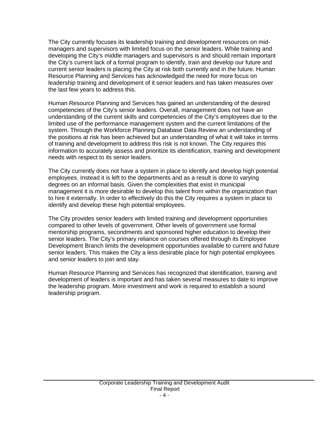The City currently focuses its leadership training and development resources on midmanagers and supervisors with limited focus on the senior leaders. While training and developing the City's middle managers and supervisors is and should remain important the City's current lack of a formal program to identify, train and develop our future and current senior leaders is placing the City at risk both currently and in the future. Human Resource Planning and Services has acknowledged the need for more focus on leadership training and development of it senior leaders and has taken measures over the last few years to address this.

Human Resource Planning and Services has gained an understanding of the desired competencies of the City's senior leaders. Overall, management does not have an understanding of the current skills and competencies of the City's employees due to the limited use of the performance management system and the current limitations of the system. Through the Workforce Planning Database Data Review an understanding of the positions at risk has been achieved but an understanding of what it will take in terms of training and development to address this risk is not known. The City requires this information to accurately assess and prioritize its identification, training and development needs with respect to its senior leaders.

The City currently does not have a system in place to identify and develop high potential employees. Instead it is left to the departments and as a result is done to varying degrees on an informal basis. Given the complexities that exist in municipal management it is more desirable to develop this talent from within the organization than to hire it externally. In order to effectively do this the City requires a system in place to identify and develop these high potential employees.

The City provides senior leaders with limited training and development opportunities compared to other levels of government. Other levels of government use formal mentorship programs, secondments and sponsored higher education to develop their senior leaders. The City's primary reliance on courses offered through its Employee Development Branch limits the development opportunities available to current and future senior leaders. This makes the City a less desirable place for high potential employees and senior leaders to join and stay.

Human Resource Planning and Services has recognized that identification, training and development of leaders is important and has taken several measures to date to improve the leadership program. More investment and work is required to establish a sound leadership program.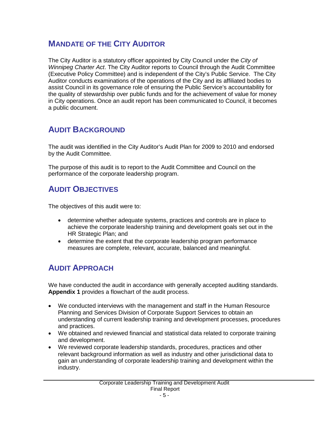# <span id="page-5-0"></span>**MANDATE OF THE CITY AUDITOR**

The City Auditor is a statutory officer appointed by City Council under the *City of Winnipeg Charter Act*. The City Auditor reports to Council through the Audit Committee (Executive Policy Committee) and is independent of the City's Public Service. The City Auditor conducts examinations of the operations of the City and its affiliated bodies to assist Council in its governance role of ensuring the Public Service's accountability for the quality of stewardship over public funds and for the achievement of value for money in City operations. Once an audit report has been communicated to Council, it becomes a public document.

# <span id="page-5-1"></span>**AUDIT BACKGROUND**

The audit was identified in the City Auditor's Audit Plan for 2009 to 2010 and endorsed by the Audit Committee.

The purpose of this audit is to report to the Audit Committee and Council on the performance of the corporate leadership program.

# <span id="page-5-2"></span>**AUDIT OBJECTIVES**

The objectives of this audit were to:

- determine whether adequate systems, practices and controls are in place to achieve the corporate leadership training and development goals set out in the HR Strategic Plan; and
- determine the extent that the corporate leadership program performance measures are complete, relevant, accurate, balanced and meaningful.

# <span id="page-5-3"></span>**AUDIT APPROACH**

We have conducted the audit in accordance with generally accepted auditing standards. **Appendix 1** provides a flowchart of the audit process.

- We conducted interviews with the management and staff in the Human Resource Planning and Services Division of Corporate Support Services to obtain an understanding of current leadership training and development processes, procedures and practices.
- We obtained and reviewed financial and statistical data related to corporate training and development.
- We reviewed corporate leadership standards, procedures, practices and other relevant background information as well as industry and other jurisdictional data to gain an understanding of corporate leadership training and development within the industry.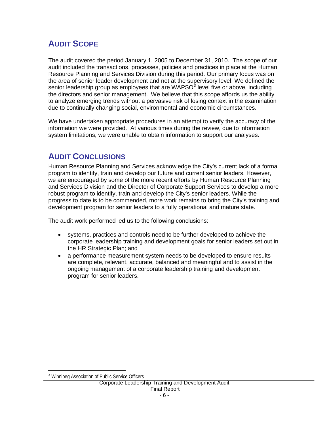# <span id="page-6-0"></span>**AUDIT SCOPE**

The audit covered the period January 1, 2005 to December 31, 2010. The scope of our audit included the transactions, processes, policies and practices in place at the Human Resource Planning and Services Division during this period. Our primary focus was on the area of senior leader development and not at the supervisory level. We defined the senior leadership group as employees that are  $WAPSO<sup>3</sup>$  $WAPSO<sup>3</sup>$  $WAPSO<sup>3</sup>$  level five or above, including the directors and senior management. We believe that this scope affords us the ability to analyze emerging trends without a pervasive risk of losing context in the examination due to continually changing social, environmental and economic circumstances.

We have undertaken appropriate procedures in an attempt to verify the accuracy of the information we were provided. At various times during the review, due to information system limitations, we were unable to obtain information to support our analyses.

# <span id="page-6-1"></span>**AUDIT CONCLUSIONS**

Human Resource Planning and Services acknowledge the City's current lack of a formal program to identify, train and develop our future and current senior leaders. However, we are encouraged by some of the more recent efforts by Human Resource Planning and Services Division and the Director of Corporate Support Services to develop a more robust program to identify, train and develop the City's senior leaders. While the progress to date is to be commended, more work remains to bring the City's training and development program for senior leaders to a fully operational and mature state.

The audit work performed led us to the following conclusions:

- systems, practices and controls need to be further developed to achieve the corporate leadership training and development goals for senior leaders set out in the HR Strategic Plan; and
- a performance measurement system needs to be developed to ensure results are complete, relevant, accurate, balanced and meaningful and to assist in the ongoing management of a corporate leadership training and development program for senior leaders.

<sup>&</sup>lt;sup>3</sup> Winnipeg Association of Public Service Officers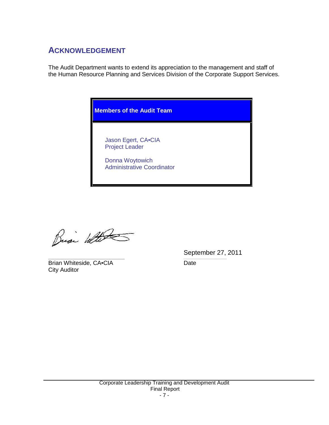# <span id="page-7-0"></span>**ACKNOWLEDGEMENT**

The Audit Department wants to extend its appreciation to the management and staff of the Human Resource Planning and Services Division of the Corporate Support Services.



Busi With

Brian Whiteside, CA•CIA Date City Auditor

September 27, 2011 \_\_\_\_\_\_\_\_\_\_\_\_\_\_\_\_\_\_\_\_\_\_\_\_\_\_\_\_\_\_\_\_\_\_\_\_\_\_\_\_\_\_\_\_\_\_\_\_\_\_\_ *\_\_\_\_\_\_\_\_\_\_\_\_\_\_\_\_\_\_\_\_\_\_\_\_\_\_\_\_\_*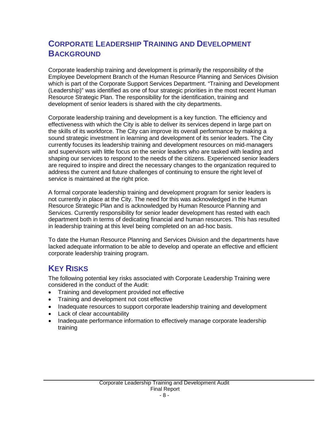# <span id="page-8-0"></span>**CORPORATE LEADERSHIP TRAINING AND DEVELOPMENT BACKGROUND**

Corporate leadership training and development is primarily the responsibility of the Employee Development Branch of the Human Resource Planning and Services Division which is part of the Corporate Support Services Department. "Training and Development (Leadership)" was identified as one of four strategic priorities in the most recent Human Resource Strategic Plan. The responsibility for the identification, training and development of senior leaders is shared with the city departments.

Corporate leadership training and development is a key function. The efficiency and effectiveness with which the City is able to deliver its services depend in large part on the skills of its workforce. The City can improve its overall performance by making a sound strategic investment in learning and development of its senior leaders. The City currently focuses its leadership training and development resources on mid-managers and supervisors with little focus on the senior leaders who are tasked with leading and shaping our services to respond to the needs of the citizens. Experienced senior leaders are required to inspire and direct the necessary changes to the organization required to address the current and future challenges of continuing to ensure the right level of service is maintained at the right price.

A formal corporate leadership training and development program for senior leaders is not currently in place at the City. The need for this was acknowledged in the Human Resource Strategic Plan and is acknowledged by Human Resource Planning and Services. Currently responsibility for senior leader development has rested with each department both in terms of dedicating financial and human resources. This has resulted in leadership training at this level being completed on an ad-hoc basis.

To date the Human Resource Planning and Services Division and the departments have lacked adequate information to be able to develop and operate an effective and efficient corporate leadership training program.

# <span id="page-8-1"></span>**KEY RISKS**

The following potential key risks associated with Corporate Leadership Training were considered in the conduct of the Audit:

- Training and development provided not effective
- Training and development not cost effective
- Inadequate resources to support corporate leadership training and development
- Lack of clear accountability
- Inadequate performance information to effectively manage corporate leadership training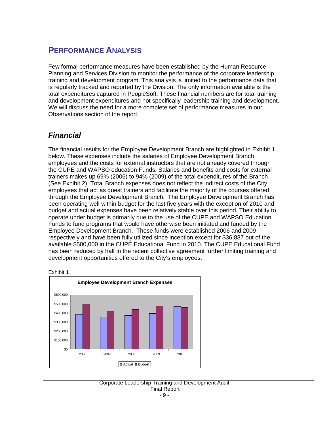# <span id="page-9-0"></span>**PERFORMANCE ANALYSIS**

Few formal performance measures have been established by the Human Resource Planning and Services Division to monitor the performance of the corporate leadership training and development program. This analysis is limited to the performance data that is regularly tracked and reported by the Division. The only information available is the total expenditures captured in PeopleSoft. These financial numbers are for total training and development expenditures and not specifically leadership training and development. We will discuss the need for a more complete set of performance measures in our Observations section of the report.

## *Financial*

The financial results for the Employee Development Branch are highlighted in Exhibit 1 below. These expenses include the salaries of Employee Development Branch employees and the costs for external instructors that are not already covered through the CUPE and WAPSO education Funds. Salaries and benefits and costs for external trainers makes up 69% (2006) to 94% (2009) of the total expenditures of the Branch (See Exhibit 2). Total Branch expenses does not reflect the indirect costs of the City employees that act as guest trainers and facilitate the majority of the courses offered through the Employee Development Branch. The Employee Development Branch has been operating well within budget for the last five years with the exception of 2010 and budget and actual expenses have been relatively stable over this period. Their ability to operate under budget is primarily due to the use of the CUPE and WAPSO Education Funds to fund programs that would have otherwise been initiated and funded by the Employee Development Branch. These funds were established 2006 and 2009 respectively and have been fully utilized since inception except for \$36,887 out of the available \$500,000 in the CUPE Educational Fund in 2010. The CUPE Educational Fund has been reduced by half in the recent collective agreement further limiting training and development opportunities offered to the City's employees.



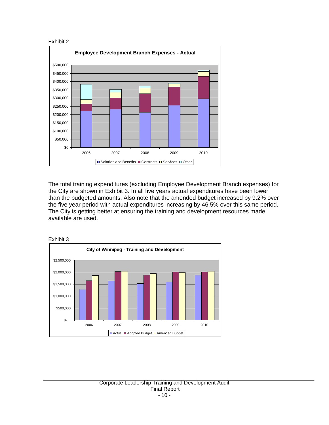



The total training expenditures (excluding Employee Development Branch expenses) for the City are shown in Exhibit 3. In all five years actual expenditures have been lower than the budgeted amounts. Also note that the amended budget increased by 9.2% over the five year period with actual expenditures increasing by 46.5% over this same period. The City is getting better at ensuring the training and development resources made available are used.

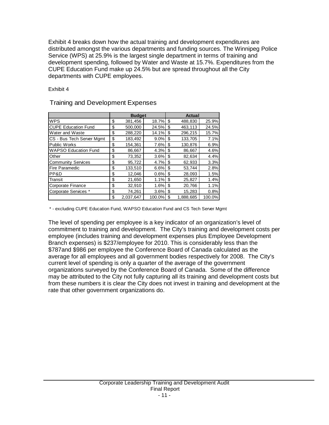Exhibit 4 breaks down how the actual training and development expenditures are distributed amongst the various departments and funding sources. The Winnipeg Police Service (WPS) at 25.9% is the largest single department in terms of training and development spending, followed by Water and Waste at 15.7%. Expenditures from the CUPE Education Fund make up 24.5% but are spread throughout all the City departments with CUPE employees.

Exhibit 4

|                             | <b>Budget</b> |           |        | <b>Actual</b> |           |        |
|-----------------------------|---------------|-----------|--------|---------------|-----------|--------|
| <b>WPS</b>                  | \$            | 381,456   | 18.7%  | \$            | 488,830   | 25.9%  |
| <b>CUPE Education Fund</b>  | \$            | 500,000   | 24.5%  | S             | 463.113   | 24.5%  |
| Water and Waste             | \$            | 288.220   | 14.1%  | \$            | 296.215   | 15.7%  |
| CS - Bus Tech Server Mgmt   | \$            | 183,492   | 9.0%   | S             | 133.705   | 7.1%   |
| <b>Public Works</b>         | \$            | 154,361   | 7.6%   | \$            | 130.876   | 6.9%   |
| <b>WAPSO Education Fund</b> | \$            | 86,667    | 4.3%   | S             | 86,667    | 4.6%   |
| Other                       | \$            | 73,352    | 3.6%   | \$            | 82,634    | 4.4%   |
| <b>Community Services</b>   | \$            | 95,722    | 4.7%   | \$            | 62,933    | 3.3%   |
| Fire Paramedic              | \$            | 133.510   | 6.6%   | \$            | 53.744    | 2.8%   |
| PP&D                        | \$            | 12,046    | 0.6%   | \$            | 28,093    | 1.5%   |
| Transit                     | \$            | 21,650    | 1.1%   | \$            | 25,827    | 1.4%   |
| Corporate Finance           | \$            | 32,910    | 1.6%   | \$            | 20,766    | 1.1%   |
| Corporate Services *        | \$            | 74,261    | 3.6%   | S             | 15,283    | 0.8%   |
|                             | \$            | 2.037.647 | 100.0% | \$            | 1.888.685 | 100.0% |

#### Training and Development Expenses

\* - excluding CUPE Education Fund, WAPSO Education Fund and CS Tech Server Mgmt

The level of spending per employee is a key indicator of an organization's level of commitment to training and development. The City's training and development costs per employee (includes training and development expenses plus Employee Development Branch expenses) is \$237/employee for 2010. This is considerably less than the \$787and \$986 per employee the Conference Board of Canada calculated as the average for all employees and all government bodies respectively for 2008. The City's current level of spending is only a quarter of the average of the government organizations surveyed by the Conference Board of Canada. Some of the difference may be attributed to the City not fully capturing all its training and development costs but from these numbers it is clear the City does not invest in training and development at the rate that other government organizations do.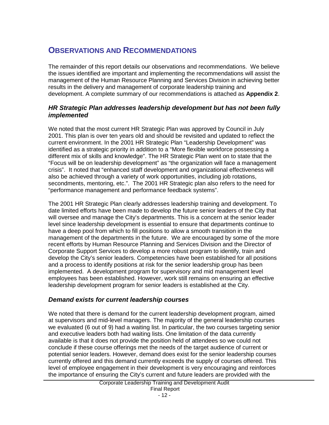# <span id="page-12-0"></span>**OBSERVATIONS AND RECOMMENDATIONS**

The remainder of this report details our observations and recommendations. We believe the issues identified are important and implementing the recommendations will assist the management of the Human Resource Planning and Services Division in achieving better results in the delivery and management of corporate leadership training and development. A complete summary of our recommendations is attached as **Appendix 2**.

## *HR Strategic Plan addresses leadership development but has not been fully implemented*

We noted that the most current HR Strategic Plan was approved by Council in July 2001. This plan is over ten years old and should be revisited and updated to reflect the current environment. In the 2001 HR Strategic Plan "Leadership Development" was identified as a strategic priority in addition to a "More flexible workforce possessing a different mix of skills and knowledge". The HR Strategic Plan went on to state that the "Focus will be on leadership development" as "the organization will face a management crisis". It noted that "enhanced staff development and organizational effectiveness will also be achieved through a variety of work opportunities, including job rotations, secondments, mentoring, etc.". The 2001 HR Strategic plan also refers to the need for "performance management and performance feedback systems".

The 2001 HR Strategic Plan clearly addresses leadership training and development. To date limited efforts have been made to develop the future senior leaders of the City that will oversee and manage the City's departments. This is a concern at the senior leader level since leadership development is essential to ensure that departments continue to have a deep pool from which to fill positions to allow a smooth transition in the management of the departments in the future. We are encouraged by some of the more recent efforts by Human Resource Planning and Services Division and the Director of Corporate Support Services to develop a more robust program to identify, train and develop the City's senior leaders. Competencies have been established for all positions and a process to identify positions at risk for the senior leadership group has been implemented. A development program for supervisory and mid management level employees has been established. However, work still remains on ensuring an effective leadership development program for senior leaders is established at the City.

## *Demand exists for current leadership courses*

We noted that there is demand for the current leadership development program, aimed at supervisors and mid-level managers. The majority of the general leadership courses we evaluated (6 out of 9) had a waiting list. In particular, the two courses targeting senior and executive leaders both had waiting lists. One limitation of the data currently available is that it does not provide the position held of attendees so we could not conclude if these course offerings met the needs of the target audience of current or potential senior leaders. However, demand does exist for the senior leadership courses currently offered and this demand currently exceeds the supply of courses offered. This level of employee engagement in their development is very encouraging and reinforces the importance of ensuring the City's current and future leaders are provided with the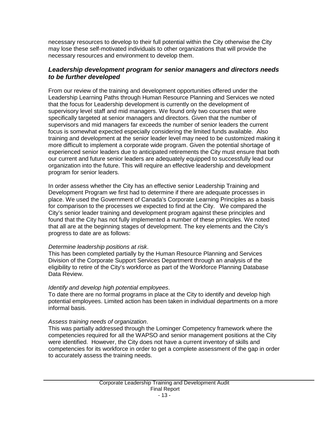necessary resources to develop to their full potential within the City otherwise the City may lose these self-motivated individuals to other organizations that will provide the necessary resources and environment to develop them.

## *Leadership development program for senior managers and directors needs to be further developed*

From our review of the training and development opportunities offered under the Leadership Learning Paths through Human Resource Planning and Services we noted that the focus for Leadership development is currently on the development of supervisory level staff and mid managers. We found only two courses that were specifically targeted at senior managers and directors. Given that the number of supervisors and mid managers far exceeds the number of senior leaders the current focus is somewhat expected especially considering the limited funds available. Also training and development at the senior leader level may need to be customized making it more difficult to implement a corporate wide program. Given the potential shortage of experienced senior leaders due to anticipated retirements the City must ensure that both our current and future senior leaders are adequately equipped to successfully lead our organization into the future. This will require an effective leadership and development program for senior leaders.

In order assess whether the City has an effective senior Leadership Training and Development Program we first had to determine if there are adequate processes in place. We used the Government of Canada's Corporate Learning Principles as a basis for comparison to the processes we expected to find at the City. We compared the City's senior leader training and development program against these principles and found that the City has not fully implemented a number of these principles. We noted that all are at the beginning stages of development. The key elements and the City's progress to date are as follows:

#### *Determine leadership positions at risk*.

This has been completed partially by the Human Resource Planning and Services Division of the Corporate Support Services Department through an analysis of the eligibility to retire of the City's workforce as part of the Workforce Planning Database Data Review.

#### *Identify and develop high potential employees*.

To date there are no formal programs in place at the City to identify and develop high potential employees. Limited action has been taken in individual departments on a more informal basis.

#### *Assess training needs of organization*.

This was partially addressed through the Lominger Competency framework where the competencies required for all the WAPSO and senior management positions at the City were identified. However, the City does not have a current inventory of skills and competencies for its workforce in order to get a complete assessment of the gap in order to accurately assess the training needs.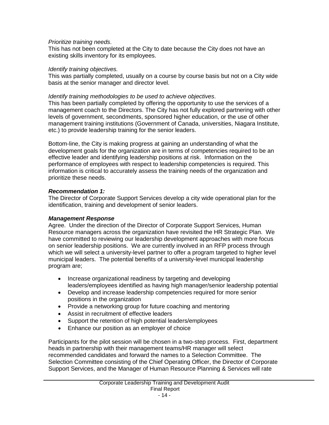#### *Prioritize training needs*.

This has not been completed at the City to date because the City does not have an existing skills inventory for its employees.

#### *Identify training objectives.*

This was partially completed, usually on a course by course basis but not on a City wide basis at the senior manager and director level.

#### *Identify training methodologies to be used to achieve objectives*.

This has been partially completed by offering the opportunity to use the services of a management coach to the Directors. The City has not fully explored partnering with other levels of government, secondments, sponsored higher education, or the use of other management training institutions (Government of Canada, universities, Niagara Institute, etc.) to provide leadership training for the senior leaders.

Bottom-line, the City is making progress at gaining an understanding of what the development goals for the organization are in terms of competencies required to be an effective leader and identifying leadership positions at risk. Information on the performance of employees with respect to leadership competencies is required. This information is critical to accurately assess the training needs of the organization and prioritize these needs.

#### *Recommendation 1:*

The Director of Corporate Support Services develop a city wide operational plan for the identification, training and development of senior leaders.

#### *Management Response*

Agree. Under the direction of the Director of Corporate Support Services, Human Resource managers across the organization have revisited the HR Strategic Plan. We have committed to reviewing our leadership development approaches with more focus on senior leadership positions. We are currently involved in an RFP process through which we will select a university-level partner to offer a program targeted to higher level municipal leaders. The potential benefits of a university-level municipal leadership program are;

- Increase organizational readiness by targeting and developing leaders/employees identified as having high manager/senior leadership potential
- Develop and increase leadership competencies required for more senior positions in the organization
- Provide a networking group for future coaching and mentoring
- Assist in recruitment of effective leaders
- Support the retention of high potential leaders/employees
- Enhance our position as an employer of choice

Participants for the pilot session will be chosen in a two-step process. First, department heads in partnership with their management teams/HR manager will select recommended candidates and forward the names to a Selection Committee. The Selection Committee consisting of the Chief Operating Officer, the Director of Corporate Support Services, and the Manager of Human Resource Planning & Services will rate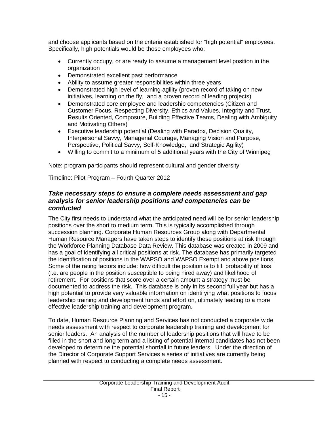and choose applicants based on the criteria established for "high potential" employees. Specifically, high potentials would be those employees who;

- Currently occupy, or are ready to assume a management level position in the organization
- Demonstrated excellent past performance
- Ability to assume greater responsibilities within three years
- Demonstrated high level of learning agility (proven record of taking on new initiatives, learning on the fly, and a proven record of leading projects)
- Demonstrated core employee and leadership competencies (Citizen and Customer Focus, Respecting Diversity, Ethics and Values, Integrity and Trust, Results Oriented, Composure, Building Effective Teams, Dealing with Ambiguity and Motivating Others)
- Executive leadership potential (Dealing with Paradox, Decision Quality, Interpersonal Savvy, Managerial Courage, Managing Vision and Purpose, Perspective, Political Savvy, Self-Knowledge, and Strategic Agility)
- Willing to commit to a minimum of 5 additional years with the City of Winnipeg

Note: program participants should represent cultural and gender diversity

Timeline: Pilot Program – Fourth Quarter 2012

## *Take necessary steps to ensure a complete needs assessment and gap analysis for senior leadership positions and competencies can be conducted*

The City first needs to understand what the anticipated need will be for senior leadership positions over the short to medium term. This is typically accomplished through succession planning. Corporate Human Resources Group along with Departmental Human Resource Managers have taken steps to identify these positions at risk through the Workforce Planning Database Data Review. This database was created in 2009 and has a goal of identifying all critical positions at risk. The database has primarily targeted the identification of positions in the WAPSO and WAPSO Exempt and above positions. Some of the rating factors include: how difficult the position is to fill, probability of loss (i.e. are people in the position susceptible to being hired away) and likelihood of retirement. For positions that score over a certain amount a strategy must be documented to address the risk. This database is only in its second full year but has a high potential to provide very valuable information on identifying what positions to focus leadership training and development funds and effort on, ultimately leading to a more effective leadership training and development program.

To date, Human Resource Planning and Services has not conducted a corporate wide needs assessment with respect to corporate leadership training and development for senior leaders. An analysis of the number of leadership positions that will have to be filled in the short and long term and a listing of potential internal candidates has not been developed to determine the potential shortfall in future leaders. Under the direction of the Director of Corporate Support Services a series of initiatives are currently being planned with respect to conducting a complete needs assessment.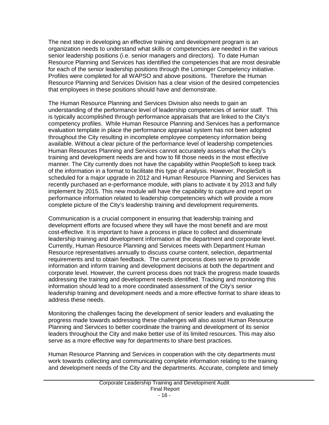The next step in developing an effective training and development program is an organization needs to understand what skills or competencies are needed in the various senior leadership positions (i.e. senior managers and directors). To date Human Resource Planning and Services has identified the competencies that are most desirable for each of the senior leadership positions through the Lominger Competency initiative. Profiles were completed for all WAPSO and above positions. Therefore the Human Resource Planning and Services Division has a clear vision of the desired competencies that employees in these positions should have and demonstrate.

The Human Resource Planning and Services Division also needs to gain an understanding of the performance level of leadership competencies of senior staff. This is typically accomplished through performance appraisals that are linked to the City's competency profiles. While Human Resource Planning and Services has a performance evaluation template in place the performance appraisal system has not been adopted throughout the City resulting in incomplete employee competency information being available. Without a clear picture of the performance level of leadership competencies Human Resources Planning and Services cannot accurately assess what the City's training and development needs are and how to fill those needs in the most effective manner. The City currently does not have the capability within PeopleSoft to keep track of the information in a format to facilitate this type of analysis. However, PeopleSoft is scheduled for a major upgrade in 2012 and Human Resource Planning and Services has recently purchased an e-performance module, with plans to activate it by 2013 and fully implement by 2015. This new module will have the capability to capture and report on performance information related to leadership competencies which will provide a more complete picture of the City's leadership training and development requirements.

Communication is a crucial component in ensuring that leadership training and development efforts are focused where they will have the most benefit and are most cost-effective. It is important to have a process in place to collect and disseminate leadership training and development information at the department and corporate level. Currently, Human Resource Planning and Services meets with Department Human Resource representatives annually to discuss course content, selection, departmental requirements and to obtain feedback. The current process does serve to provide information and inform training and development decisions at both the department and corporate level. However, the current process does not track the progress made towards addressing the training and development needs identified. Tracking and monitoring this information should lead to a more coordinated assessment of the City's senior leadership training and development needs and a more effective format to share ideas to address these needs.

Monitoring the challenges facing the development of senior leaders and evaluating the progress made towards addressing these challenges will also assist Human Resource Planning and Services to better coordinate the training and development of its senior leaders throughout the City and make better use of its limited resources. This may also serve as a more effective way for departments to share best practices.

Human Resource Planning and Services in cooperation with the city departments must work towards collecting and communicating complete information relating to the training and development needs of the City and the departments. Accurate, complete and timely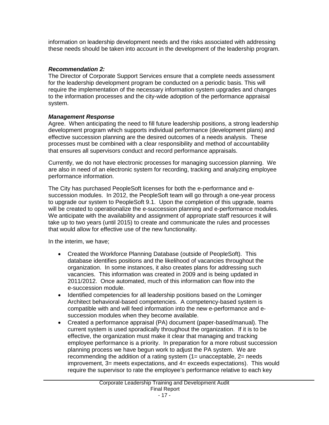information on leadership development needs and the risks associated with addressing these needs should be taken into account in the development of the leadership program.

#### *Recommendation 2:*

The Director of Corporate Support Services ensure that a complete needs assessment for the leadership development program be conducted on a periodic basis. This will require the implementation of the necessary information system upgrades and changes to the information processes and the city-wide adoption of the performance appraisal system.

### *Management Response*

Agree. When anticipating the need to fill future leadership positions, a strong leadership development program which supports individual performance (development plans) and effective succession planning are the desired outcomes of a needs analysis. These processes must be combined with a clear responsibility and method of accountability that ensures all supervisors conduct and record performance appraisals.

Currently, we do not have electronic processes for managing succession planning. We are also in need of an electronic system for recording, tracking and analyzing employee performance information.

The City has purchased PeopleSoft licenses for both the e-performance and esuccession modules. In 2012, the PeopleSoft team will go through a one-year process to upgrade our system to PeopleSoft 9.1. Upon the completion of this upgrade, teams will be created to operationalize the e-succession planning and e-performance modules. We anticipate with the availability and assignment of appropriate staff resources it will take up to two years (until 2015) to create and communicate the rules and processes that would allow for effective use of the new functionality.

In the interim, we have;

- Created the Workforce Planning Database (outside of PeopleSoft). This database identifies positions and the likelihood of vacancies throughout the organization. In some instances, it also creates plans for addressing such vacancies. This information was created in 2009 and is being updated in 2011/2012. Once automated, much of this information can flow into the e-succession module.
- Identified competencies for all leadership positions based on the Lominger Architect behavioral-based competencies. A competency-based system is compatible with and will feed information into the new e-performance and esuccession modules when they become available.
- Created a performance appraisal (PA) document (paper-based/manual). The current system is used sporadically throughout the organization. If it is to be effective, the organization must make it clear that managing and tracking employee performance is a priority. In preparation for a more robust succession planning process we have begun work to adjust the PA system. We are recommending the addition of a rating system (1= unacceptable, 2= needs improvement, 3= meets expectations, and 4= exceeds expectations). This would require the supervisor to rate the employee's performance relative to each key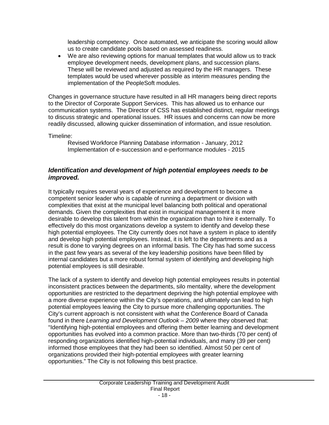leadership competency. Once automated, we anticipate the scoring would allow us to create candidate pools based on assessed readiness.

• We are also reviewing options for manual templates that would allow us to track employee development needs, development plans, and succession plans. These will be reviewed and adjusted as required by the HR managers. These templates would be used wherever possible as interim measures pending the implementation of the PeopleSoft modules.

Changes in governance structure have resulted in all HR managers being direct reports to the Director of Corporate Support Services. This has allowed us to enhance our communication systems. The Director of CSS has established distinct, regular meetings to discuss strategic and operational issues. HR issues and concerns can now be more readily discussed, allowing quicker dissemination of information, and issue resolution.

Timeline:

Revised Workforce Planning Database information - January, 2012 Implementation of e-succession and e-performance modules - 2015

## *Identification and development of high potential employees needs to be improved.*

It typically requires several years of experience and development to become a competent senior leader who is capable of running a department or division with complexities that exist at the municipal level balancing both political and operational demands. Given the complexities that exist in municipal management it is more desirable to develop this talent from within the organization than to hire it externally. To effectively do this most organizations develop a system to identify and develop these high potential employees. The City currently does not have a system in place to identify and develop high potential employees. Instead, it is left to the departments and as a result is done to varying degrees on an informal basis. The City has had some success in the past few years as several of the key leadership positions have been filled by internal candidates but a more robust formal system of identifying and developing high potential employees is still desirable.

The lack of a system to identify and develop high potential employees results in potential inconsistent practices between the departments, silo mentality, where the development opportunities are restricted to the department depriving the high potential employee with a more diverse experience within the City's operations, and ultimately can lead to high potential employees leaving the City to pursue more challenging opportunities. The City's current approach is not consistent with what the Conference Board of Canada found in there *Learning and Development Outlook – 2009* where they observed that: "Identifying high-potential employees and offering them better learning and development opportunities has evolved into a common practice. More than two-thirds (70 per cent) of responding organizations identified high-potential individuals, and many (39 per cent) informed those employees that they had been so identified. Almost 50 per cent of organizations provided their high-potential employees with greater learning opportunities." The City is not following this best practice.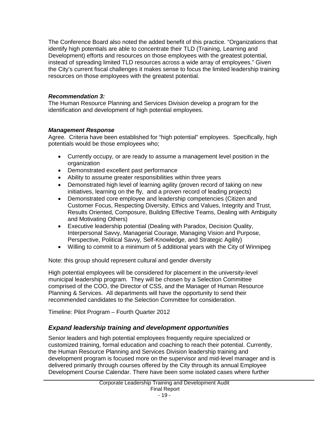The Conference Board also noted the added benefit of this practice. "Organizations that identify high potentials are able to concentrate their TLD (Training, Learning and Development) efforts and resources on those employees with the greatest potential, instead of spreading limited TLD resources across a wide array of employees." Given the City's current fiscal challenges it makes sense to focus the limited leadership training resources on those employees with the greatest potential.

## *Recommendation 3:*

The Human Resource Planning and Services Division develop a program for the identification and development of high potential employees.

## *Management Response*

Agree. Criteria have been established for "high potential" employees. Specifically, high potentials would be those employees who;

- Currently occupy, or are ready to assume a management level position in the organization
- Demonstrated excellent past performance
- Ability to assume greater responsibilities within three years
- Demonstrated high level of learning agility (proven record of taking on new initiatives, learning on the fly, and a proven record of leading projects)
- Demonstrated core employee and leadership competencies (Citizen and Customer Focus, Respecting Diversity, Ethics and Values, Integrity and Trust, Results Oriented, Composure, Building Effective Teams, Dealing with Ambiguity and Motivating Others)
- Executive leadership potential (Dealing with Paradox, Decision Quality, Interpersonal Savvy, Managerial Courage, Managing Vision and Purpose, Perspective, Political Savvy, Self-Knowledge, and Strategic Agility)
- Willing to commit to a minimum of 5 additional years with the City of Winnipeg

Note: this group should represent cultural and gender diversity

High potential employees will be considered for placement in the university-level municipal leadership program. They will be chosen by a Selection Committee comprised of the COO, the Director of CSS, and the Manager of Human Resource Planning & Services. All departments will have the opportunity to send their recommended candidates to the Selection Committee for consideration.

Timeline: Pilot Program – Fourth Quarter 2012

## *Expand leadership training and development opportunities*

Senior leaders and high potential employees frequently require specialized or customized training, formal education and coaching to reach their potential. Currently, the Human Resource Planning and Services Division leadership training and development program is focused more on the supervisor and mid-level manager and is delivered primarily through courses offered by the City through its annual Employee Development Course Calendar. There have been some isolated cases where further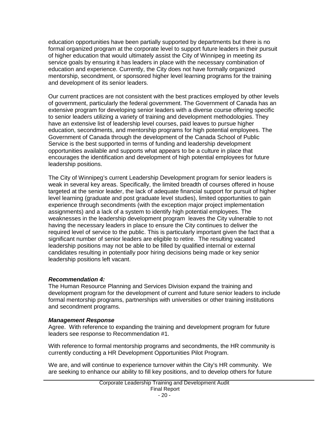education opportunities have been partially supported by departments but there is no formal organized program at the corporate level to support future leaders in their pursuit of higher education that would ultimately assist the City of Winnipeg in meeting its service goals by ensuring it has leaders in place with the necessary combination of education and experience. Currently, the City does not have formally organized mentorship, secondment, or sponsored higher level learning programs for the training and development of its senior leaders.

Our current practices are not consistent with the best practices employed by other levels of government, particularly the federal government. The Government of Canada has an extensive program for developing senior leaders with a diverse course offering specific to senior leaders utilizing a variety of training and development methodologies. They have an extensive list of leadership level courses, paid leaves to pursue higher education, secondments, and mentorship programs for high potential employees. The Government of Canada through the development of the Canada School of Public Service is the best supported in terms of funding and leadership development opportunities available and supports what appears to be a culture in place that encourages the identification and development of high potential employees for future leadership positions.

The City of Winnipeg's current Leadership Development program for senior leaders is weak in several key areas. Specifically, the limited breadth of courses offered in house targeted at the senior leader, the lack of adequate financial support for pursuit of higher level learning (graduate and post graduate level studies), limited opportunities to gain experience through secondments (with the exception major project implementation assignments) and a lack of a system to identify high potential employees. The weaknesses in the leadership development program leaves the City vulnerable to not having the necessary leaders in place to ensure the City continues to deliver the required level of service to the public. This is particularly important given the fact that a significant number of senior leaders are eligible to retire. The resulting vacated leadership positions may not be able to be filled by qualified internal or external candidates resulting in potentially poor hiring decisions being made or key senior leadership positions left vacant.

#### *Recommendation 4:*

The Human Resource Planning and Services Division expand the training and development program for the development of current and future senior leaders to include formal mentorship programs, partnerships with universities or other training institutions and secondment programs.

#### *Management Response*

Agree. With reference to expanding the training and development program for future leaders see response to Recommendation #1.

With reference to formal mentorship programs and secondments, the HR community is currently conducting a HR Development Opportunities Pilot Program.

We are, and will continue to experience turnover within the City's HR community. We are seeking to enhance our ability to fill key positions, and to develop others for future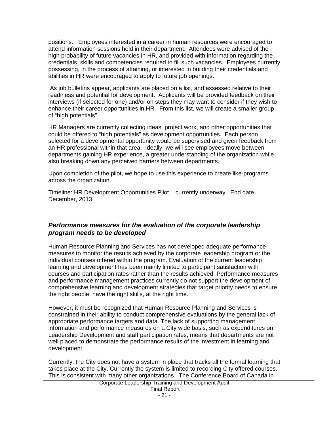positions. Employees interested in a career in human resources were encouraged to attend information sessions held in their department. Attendees were advised of the high probability of future vacancies in HR, and provided with information regarding the credentials, skills and competencies required to fill such vacancies. Employees currently possessing, in the process of attaining, or interested in building their credentials and abilities in HR were encouraged to apply to future job openings.

As job bulletins appear, applicants are placed on a list, and assessed relative to their readiness and potential for development. Applicants will be provided feedback on their interviews (if selected for one) and/or on steps they may want to consider if they wish to enhance their career opportunities in HR. From this list, we will create a smaller group of "high potentials".

HR Managers are currently collecting ideas, project work, and other opportunities that could be offered to "high potentials" as development opportunities. Each person selected for a developmental opportunity would be supervised and given feedback from an HR professional within that area. Ideally, we will see employees move between departments gaining HR experience, a greater understanding of the organization while also breaking down any perceived barriers between departments.

Upon completion of the pilot, we hope to use this experience to create like-programs across the organization.

Timeline: HR Development Opportunities Pilot – currently underway. End date December, 2013

## *Performance measures for the evaluation of the corporate leadership program needs to be developed*

Human Resource Planning and Services has not developed adequate performance measures to monitor the results achieved by the corporate leadership program or the individual courses offered within the program. Evaluation of the current leadership learning and development has been mainly limited to participant satisfaction with courses and participation rates rather than the results achieved. Performance measures and performance management practices currently do not support the development of comprehensive learning and development strategies that target priority needs to ensure the right people, have the right skills, at the right time.

However, it must be recognized that Human Resource Planning and Services is constrained in their ability to conduct comprehensive evaluations by the general lack of appropriate performance targets and data. The lack of supporting management information and performance measures on a City wide basis, such as expenditures on Leadership Development and staff participation rates, means that departments are not well placed to demonstrate the performance results of the investment in learning and development.

Currently, the City does not have a system in place that tracks all the formal learning that takes place at the City. Currently the system is limited to recording City offered courses. This is consistent with many other organizations. The Conference Board of Canada in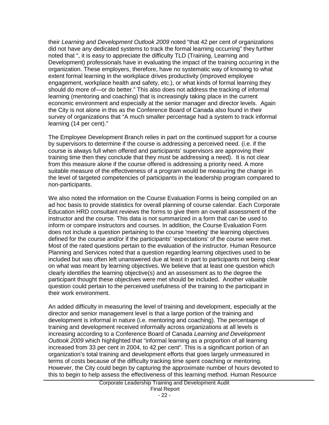their *Learning and Development Outlook 2009* noted "that 42 per cent of organizations did not have any dedicated systems to track the formal learning occurring" they further noted that ", it is easy to appreciate the difficulty TLD (Training, Learning and Development) professionals have in evaluating the impact of the training occurring in the organization. These employers, therefore, have no systematic way of knowing to what extent formal learning in the workplace drives productivity (improved employee engagement, workplace health and safety, etc.), or what kinds of formal learning they should do more of—or do better." This also does not address the tracking of informal learning (mentoring and coaching) that is increasingly taking place in the current economic environment and especially at the senior manager and director levels. Again the City is not alone in this as the Conference Board of Canada also found in their survey of organizations that "A much smaller percentage had a system to track informal learning (14 per cent)."

The Employee Development Branch relies in part on the continued support for a course by supervisors to determine if the course is addressing a perceived need. (i.e. if the course is always full when offered and participants' supervisors are approving their training time then they conclude that they must be addressing a need). It is not clear from this measure alone if the course offered is addressing a priority need. A more suitable measure of the effectiveness of a program would be measuring the change in the level of targeted competencies of participants in the leadership program compared to non-participants.

We also noted the information on the Course Evaluation Forms is being compiled on an ad hoc basis to provide statistics for overall planning of course calendar. Each Corporate Education HRD consultant reviews the forms to give them an overall assessment of the instructor and the course. This data is not summarized in a form that can be used to inform or compare instructors and courses. In addition, the Course Evaluation Form does not include a question pertaining to the course 'meeting' the learning objectives defined for the course and/or if the participants' 'expectations' of the course were met. Most of the rated questions pertain to the evaluation of the instructor. Human Resource Planning and Services noted that a question regarding learning objectives used to be included but was often left unanswered due at least in part to participants not being clear on what was meant by learning objectives. We believe that at least one question which clearly identifies the learning objective(s) and an assessment as to the degree the participant thought these objectives were met should be included. Another valuable question could pertain to the perceived usefulness of the training to the participant in their work environment.

An added difficulty in measuring the level of training and development, especially at the director and senior management level is that a large portion of the training and development is informal in nature (i.e. mentoring and coaching). The percentage of training and development received informally across organizations at all levels is increasing according to a Conference Board of Canada *Learning and Development Outlook 2009* which highlighted that "informal learning as a proportion of all learning increased from 33 per cent in 2004, to 42 per cent". This is a significant portion of an organization's total training and development efforts that goes largely unmeasured in terms of costs because of the difficulty tracking time spent coaching or mentoring. However, the City could begin by capturing the approximate number of hours devoted to this to begin to help assess the effectiveness of this learning method. Human Resource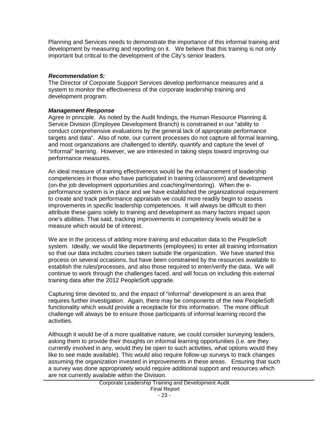Planning and Services needs to demonstrate the importance of this informal training and development by measuring and reporting on it. We believe that this training is not only important but critical to the development of the City's senior leaders.

#### *Recommendation 5:*

The Director of Corporate Support Services develop performance measures and a system to monitor the effectiveness of the corporate leadership training and development program.

#### *Management Response*

Agree in principle. As noted by the Audit findings, the Human Resource Planning & Service Division (Employee Development Branch) is constrained in our "ability to conduct comprehensive evaluations by the general lack of appropriate performance targets and data". Also of note, our current processes do not capture all formal learning, and most organizations are challenged to identify, quantify and capture the level of "informal" learning. However, we are interested in taking steps toward improving our performance measures.

An ideal measure of training effectiveness would be the enhancement of leadership competencies in those who have participated in training (classroom) and development (on-the job development opportunities and coaching/mentoring). When the eperformance system is in place and we have established the organizational requirement to create and track performance appraisals we could more readily begin to assess improvements in specific leadership competencies. It will always be difficult to then attribute these gains solely to training and development as many factors impact upon one's abilities. That said, tracking improvements in competency levels would be a measure which would be of interest.

We are in the process of adding more training and education data to the PeopleSoft system. Ideally, we would like departments (employees) to enter all training information so that our data includes courses taken outside the organization. We have started this process on several occasions, but have been constrained by the resources available to establish the rules/processes, and also those required to enter/verify the data. We will continue to work through the challenges faced, and will focus on including this external training data after the 2012 PeopleSoft upgrade.

Capturing time devoted to, and the impact of "informal" development is an area that requires further investigation. Again, there may be components of the new PeopleSoft functionality which would provide a receptacle for this information. The more difficult challenge will always be to ensure those participants of informal learning record the activities.

Although it would be of a more qualitative nature, we could consider surveying leaders, asking them to provide their thoughts on informal learning opportunities (i.e. are they currently involved in any, would they be open to such activities, what options would they like to see made available). This would also require follow-up surveys to track changes assuming the organization invested in improvements in these areas. Ensuring that such a survey was done appropriately would require additional support and resources which are not currently available within the Division.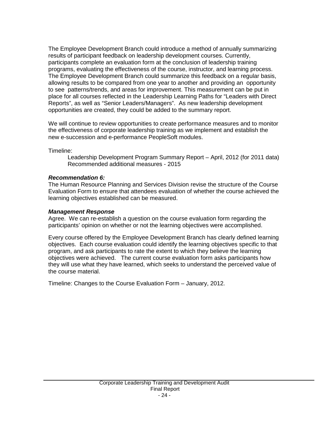The Employee Development Branch could introduce a method of annually summarizing results of participant feedback on leadership development courses. Currently, participants complete an evaluation form at the conclusion of leadership training programs, evaluating the effectiveness of the course, instructor, and learning process. The Employee Development Branch could summarize this feedback on a regular basis, allowing results to be compared from one year to another and providing an opportunity to see patterns/trends, and areas for improvement. This measurement can be put in place for all courses reflected in the Leadership Learning Paths for "Leaders with Direct Reports", as well as "Senior Leaders/Managers". As new leadership development opportunities are created, they could be added to the summary report.

We will continue to review opportunities to create performance measures and to monitor the effectiveness of corporate leadership training as we implement and establish the new e-succession and e-performance PeopleSoft modules.

Timeline:

Leadership Development Program Summary Report – April, 2012 (for 2011 data) Recommended additional measures - 2015

#### *Recommendation 6:*

The Human Resource Planning and Services Division revise the structure of the Course Evaluation Form to ensure that attendees evaluation of whether the course achieved the learning objectives established can be measured.

#### *Management Response*

Agree. We can re-establish a question on the course evaluation form regarding the participants' opinion on whether or not the learning objectives were accomplished.

Every course offered by the Employee Development Branch has clearly defined learning objectives. Each course evaluation could identify the learning objectives specific to that program, and ask participants to rate the extent to which they believe the learning objectives were achieved. The current course evaluation form asks participants how they will use what they have learned, which seeks to understand the perceived value of the course material.

Timeline: Changes to the Course Evaluation Form – January, 2012.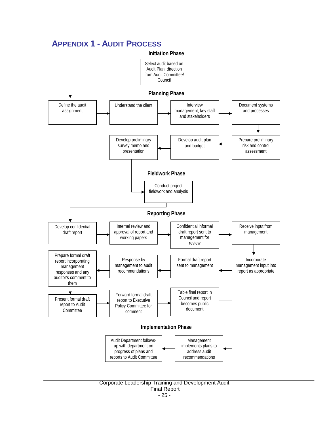## <span id="page-25-0"></span>**APPENDIX 1 - AUDIT PROCESS**